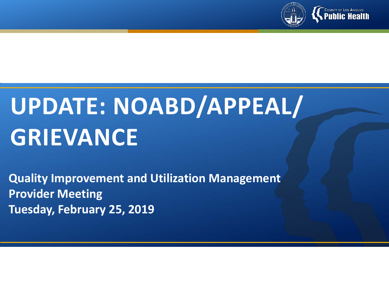

# **UPDATE: NOABD/APPEAL/ GRIEVANCE**

**Quality Improvement and Utilization Management Provider Meeting Tuesday, February 25, 2019**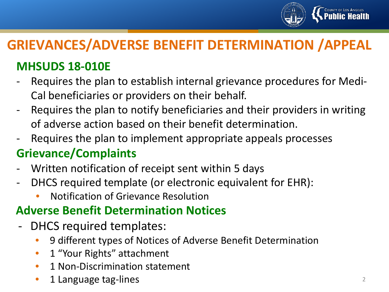

# **GRIEVANCES/ADVERSE BENEFIT DETERMINATION /APPEAL**

## **MHSUDS 18-010E**

- Requires the plan to establish internal grievance procedures for Medi-Cal beneficiaries or providers on their behalf.
- Requires the plan to notify beneficiaries and their providers in writing of adverse action based on their benefit determination.
- Requires the plan to implement appropriate appeals processes

### **Grievance/Complaints**

- Written notification of receipt sent within 5 days
- DHCS required template (or electronic equivalent for EHR):
	- Notification of Grievance Resolution

### **Adverse Benefit Determination Notices**

- DHCS required templates:
	- 9 different types of Notices of Adverse Benefit Determination
	- 1 "Your Rights" attachment
	- 1 Non-Discrimination statement
	- 1 Language tag-lines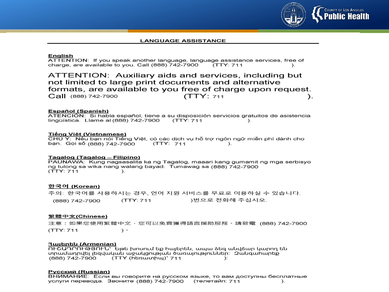

#### **LANGUAGE ASSISTANCE**

#### **English**

ATTENTION: If you speak another language, language assistance services, free of charge, are available to you, Call (888) 742-7900  $(TTY: 711$  $\mathcal{L}$ 

ATTENTION: Auxiliary aids and services, including but not limited to large print documents and alternative formats, are available to you free of charge upon request. (TTY: 711 Call (888) 742-7900  $\mathcal{L}$ 

#### **Español (Spanish)**

ATENCIÓN: Si habla español, tiene a su disposición servicios gratuitos de asistencia lingüística. Llame al (888) 742-7900  $(TTY: 711$  $\mathcal{L}$ 

#### Tiếng Việt (Vietnamese)

CHÚ Ý: Nếu bạn nói Tiếng Việt, có các dịch vụ hỗ trợ ngôn ngữ miễn phí dành cho ban. Goi số (888) 742-7900 (TTY: 711)  $).$ 

#### Tagalog (Tagalog - Filipino)

PAUNAWA: Kung nagsasalita ka ng Tagalog, maaari kang gumamit ng mga serbisyo ng tulong sa wika nang walang bayad. Tumawag sa (888) 742-7900  $(TTY: 711$  $\lambda$ 

#### 한국어 (Korean)

주의: 한국어를 사용하시는 경우, 언어 지원 서비스를 무료로 이용하실 수 있습니다. (TTY: 711 )번으로 전화해 주십시오. (888) 742-7900

#### 繁體中文(Chinese)

注意:如果您使用繁體中文‧您可以免費獲得語言援助服務。請致電 (888) 742-7900  $(TTY: 711$  $\rightarrow$ 

#### 3այերեն (Armenian)

ՈԻՇԱԴՐՈԻԹՅՈԻՆ` Եթե խոսում եք հայերեն, ապա ձեզ անվճար կարող են տրամադրվել լեզվական աջակցության ծառայություններ։ 2անգահարեք (888) 742-7900 (TTY (hեռատիպ)` 711 **)**:

#### <u> Русский (Russian)</u>

ВНИМАНИЕ: Если вы говорите на русском языке, то вам доступны бесплатные услуги перевода. Звоните (888) 742-7900 (телетайп: 711  $\mathcal{L}$